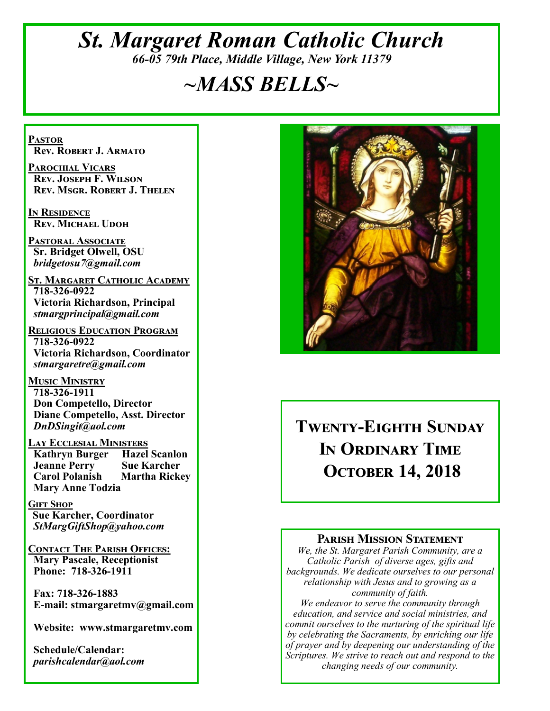## *St. Margaret Roman Catholic Church 66-05 79th Place, Middle Village, New York 11379*

# *~MASS BELLS~*

**Pastor Rev. Robert J. Armato**

**Parochial Vicars Rev. Joseph F. Wilson Rev. Msgr. Robert J. Thelen**

**In Residence Rev. Michael Udoh**

**Pastoral Associate Sr. Bridget Olwell, OSU**  *bridgetosu7@gmail.com*

**St. Margaret Catholic Academy 718-326-0922 Victoria Richardson, Principal**  *stmargprincipal@gmail.com*

**Religious Education Program 718-326-0922 Victoria Richardson, Coordinator** *stmargaretre@gmail.com*

**Music Ministry 718-326-1911 Don Competello, Director Diane Competello, Asst. Director** *DnDSingit@aol.com*

**Lay Ecclesial Ministers Kathryn Burger Jeanne Perry Sue Karcher Carol Polanish Martha Rickey Mary Anne Todzia**

**Gift Shop Sue Karcher, Coordinator** *StMargGiftShop@yahoo.com*

**Contact The Parish Offices: Mary Pascale, Receptionist Phone: 718-326-1911** 

 **Fax: 718-326-1883 E-mail: stmargaretmv@gmail.com**

 **Website: www.stmargaretmv.com**

 **Schedule/Calendar:** *parishcalendar@aol.com* 



**Twenty-Eighth Sunday In Ordinary Time October 14, 2018** 

#### **Parish Mission Statement**

*We, the St. Margaret Parish Community, are a Catholic Parish of diverse ages, gifts and backgrounds. We dedicate ourselves to our personal relationship with Jesus and to growing as a community of faith.*

*We endeavor to serve the community through education, and service and social ministries, and commit ourselves to the nurturing of the spiritual life by celebrating the Sacraments, by enriching our life of prayer and by deepening our understanding of the Scriptures. We strive to reach out and respond to the changing needs of our community.*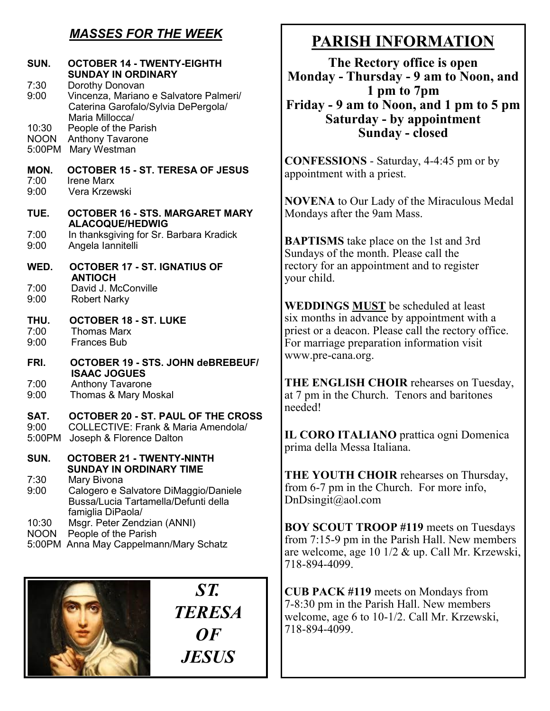## *MASSES FOR THE WEEK*

| SUN.                           | <b>OCTOBER 14 - TWENTY-EIGHTH</b><br><b>SUNDAY IN ORDINARY</b>                                                          |
|--------------------------------|-------------------------------------------------------------------------------------------------------------------------|
| 7:30<br>9:00                   | Dorothy Donovan<br>Vincenza, Mariano e Salvatore Palmeri/<br>Caterina Garofalo/Sylvia DePergola/<br>Maria Millocca/     |
| 10:30<br><b>NOON</b><br>5:00PM | People of the Parish<br><b>Anthony Tavarone</b><br>Mary Westman                                                         |
| MON.<br>7:00<br>9:00           | OCTOBER 15 - ST. TERESA OF JESUS<br><b>Irene Marx</b><br>Vera Krzewski                                                  |
| TUE.                           | <b>OCTOBER 16 - STS. MARGARET MARY</b><br><b>ALACOQUE/HEDWIG</b>                                                        |
| 7:00<br>9:00                   | In thanksgiving for Sr. Barbara Kradick<br>Angela lannitelli                                                            |
| WED.                           | <b>OCTOBER 17 - ST. IGNATIUS OF</b>                                                                                     |
| 7:00<br>9:00                   | <b>ANTIOCH</b><br>David J. McConville<br><b>Robert Narky</b>                                                            |
| THU.<br>7:00<br>9:00           | <b>OCTOBER 18 - ST. LUKE</b><br><b>Thomas Marx</b><br><b>Frances Bub</b>                                                |
| FRI.                           | OCTOBER 19 - STS. JOHN deBREBEUF/<br><b>ISAAC JOGUES</b>                                                                |
| 7:00<br>9:00                   | <b>Anthony Tavarone</b><br>Thomas & Mary Moskal                                                                         |
| SAT.<br>9:00<br>5:00PM         | <b>OCTOBER 20 - ST. PAUL OF THE CROSS</b><br><b>COLLECTIVE: Frank &amp; Maria Amendola/</b><br>Joseph & Florence Dalton |
| SUN.                           | OCTORER 21 - TWENTY-NINTH<br><b>SUNDAY IN ORDINARY TIME</b>                                                             |
| 7:30<br>9:00                   | Mary Bivona<br>Calogero e Salvatore DiMaggio/Daniele<br>Bussa/Lucia Tartamella/Defunti della<br>famiglia DiPaola/       |
| 10:30<br><b>NOON</b><br>5:00PM | Msgr. Peter Zendzian (ANNI)<br>People of the Parish<br>Anna May Cappelmann/Mary Schatz                                  |
|                                |                                                                                                                         |



# **PARISH INFORMATION**

**The Rectory office is open Monday - Thursday - 9 am to Noon, and 1 pm to 7pm Friday - 9 am to Noon, and 1 pm to 5 pm Saturday - by appointment Sunday - closed**

**CONFESSIONS** - Saturday, 4-4:45 pm or by appointment with a priest.

**NOVENA** to Our Lady of the Miraculous Medal Mondays after the 9am Mass.

**BAPTISMS** take place on the 1st and 3rd Sundays of the month. Please call the rectory for an appointment and to register your child.

**WEDDINGS MUST** be scheduled at least six months in advance by appointment with a priest or a deacon. Please call the rectory office. For marriage preparation information visit www.pre-cana.org.

**THE ENGLISH CHOIR** rehearses on Tuesday, at 7 pm in the Church. Tenors and baritones needed!

**IL CORO ITALIANO** prattica ogni Domenica prima della Messa Italiana.

**THE YOUTH CHOIR** rehearses on Thursday, from 6-7 pm in the Church. For more info, DnDsingit@aol.com

**BOY SCOUT TROOP #119** meets on Tuesdays from 7:15-9 pm in the Parish Hall. New members are welcome, age 10 1/2 & up. Call Mr. Krzewski, 718-894-4099.

**CUB PACK #119** meets on Mondays from 7-8:30 pm in the Parish Hall. New members welcome, age 6 to 10-1/2. Call Mr. Krzewski, 718-894-4099.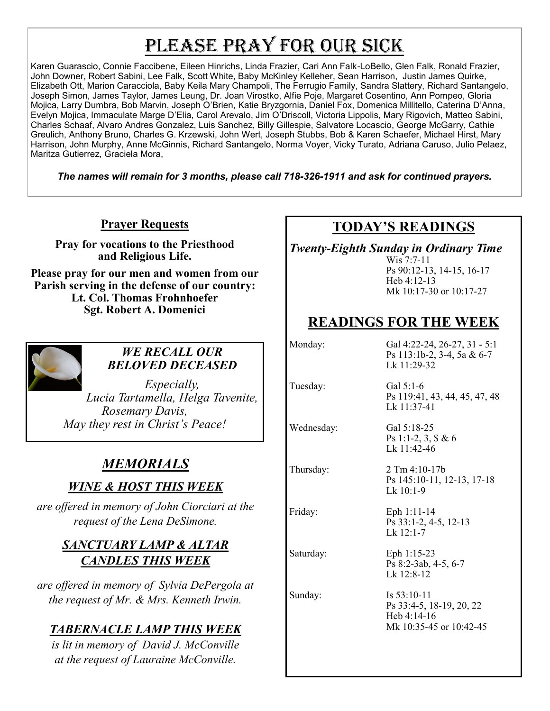# PLEASE PRAY FOR OUR SICK

Karen Guarascio, Connie Faccibene, Eileen Hinrichs, Linda Frazier, Cari Ann Falk-LoBello, Glen Falk, Ronald Frazier, John Downer, Robert Sabini, Lee Falk, Scott White, Baby McKinley Kelleher, Sean Harrison, Justin James Quirke, Elizabeth Ott, Marion Caracciola, Baby Keila Mary Champoli, The Ferrugio Family, Sandra Slattery, Richard Santangelo, Joseph Simon, James Taylor, James Leung, Dr. Joan Virostko, Alfie Poje, Margaret Cosentino, Ann Pompeo, Gloria Mojica, Larry Dumbra, Bob Marvin, Joseph O'Brien, Katie Bryzgornia, Daniel Fox, Domenica Millitello, Caterina D'Anna, Evelyn Mojica, Immaculate Marge D'Elia, Carol Arevalo, Jim O'Driscoll, Victoria Lippolis, Mary Rigovich, Matteo Sabini, Charles Schaaf, Alvaro Andres Gonzalez, Luis Sanchez, Billy Gillespie, Salvatore Locascio, George McGarry, Cathie Greulich, Anthony Bruno, Charles G. Krzewski, John Wert, Joseph Stubbs, Bob & Karen Schaefer, Michael Hirst, Mary Harrison, John Murphy, Anne McGinnis, Richard Santangelo, Norma Voyer, Vicky Turato, Adriana Caruso, Julio Pelaez, Maritza Gutierrez, Graciela Mora,

*The names will remain for 3 months, please call 718-326-1911 and ask for continued prayers.*

**Prayer Requests**

**Pray for vocations to the Priesthood and Religious Life.** 

**Please pray for our men and women from our Parish serving in the defense of our country: Lt. Col. Thomas Frohnhoefer Sgt. Robert A. Domenici** 



#### *WE RECALL OUR BELOVED DECEASED*

*Especially, Lucia Tartamella, Helga Tavenite, Rosemary Davis, May they rest in Christ's Peace!*

## *MEMORIALS*

## *WINE & HOST THIS WEEK*

*are offered in memory of John Ciorciari at the request of the Lena DeSimone.* 

#### *SANCTUARY LAMP & ALTAR CANDLES THIS WEEK*

*are offered in memory of Sylvia DePergola at the request of Mr. & Mrs. Kenneth Irwin.* 

## *TABERNACLE LAMP THIS WEEK*

*is lit in memory of David J. McConville at the request of Lauraine McConville.*

## **TODAY'S READINGS**

*Twenty-Eighth Sunday in Ordinary Time*

Wis 7:7-11 Ps 90:12-13, 14-15, 16-17 Heb 4:12-13 Mk 10:17-30 or 10:17-27

## **READINGS FOR THE WEEK**

Monday: Gal 4:22-24, 26-27, 31 - 5:1 Ps 113:1b-2, 3-4, 5a & 6-7 Lk 11:29-32 Tuesday: Gal 5:1-6 Ps 119:41, 43, 44, 45, 47, 48 Lk 11:37-41 Wednesday: Gal 5:18-25 Ps 1:1-2, 3, \$ & 6 Lk 11:42-46 Thursday: 2 Tm 4:10-17b Ps 145:10-11, 12-13, 17-18 Lk  $10:1-9$ Friday: Eph 1:11-14 Ps 33:1-2, 4-5, 12-13 Lk 12:1-7 Saturday: Eph 1:15-23 Ps 8:2-3ab, 4-5, 6-7 Lk 12:8-12 Sunday: Is 53:10-11 Ps 33:4-5, 18-19, 20, 22 Heb 4:14-16 Mk 10:35-45 or 10:42-45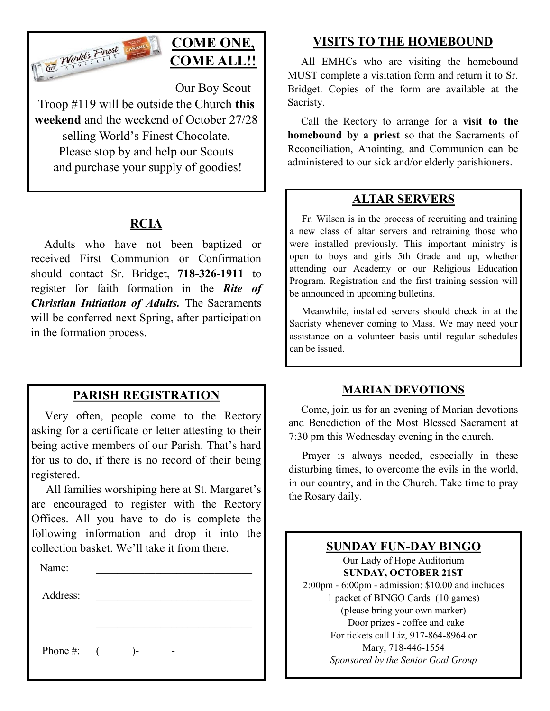

## **COME ONE, COME ALL!!**

Our Boy Scout

Troop #119 will be outside the Church **this weekend** and the weekend of October 27/28 selling World's Finest Chocolate. Please stop by and help our Scouts and purchase your supply of goodies!

### **RCIA**

 Adults who have not been baptized or received First Communion or Confirmation should contact Sr. Bridget, **718-326-1911** to register for faith formation in the *Rite of Christian Initiation of Adults.* The Sacraments will be conferred next Spring, after participation in the formation process.

#### **PARISH REGISTRATION**

 Very often, people come to the Rectory asking for a certificate or letter attesting to their being active members of our Parish. That's hard for us to do, if there is no record of their being registered.

 All families worshiping here at St. Margaret's are encouraged to register with the Rectory Offices. All you have to do is complete the following information and drop it into the collection basket. We'll take it from there. Ĭ

| Name:    |                 |  |
|----------|-----------------|--|
| Address: |                 |  |
|          |                 |  |
|          |                 |  |
|          | Phone #: $($ )- |  |

### **VISITS TO THE HOMEBOUND**

 All EMHCs who are visiting the homebound MUST complete a visitation form and return it to Sr. Bridget. Copies of the form are available at the Sacristy.

 Call the Rectory to arrange for a **visit to the homebound by a priest** so that the Sacraments of Reconciliation, Anointing, and Communion can be administered to our sick and/or elderly parishioners.

#### **ALTAR SERVERS**

 Fr. Wilson is in the process of recruiting and training a new class of altar servers and retraining those who were installed previously. This important ministry is open to boys and girls 5th Grade and up, whether attending our Academy or our Religious Education Program. Registration and the first training session will be announced in upcoming bulletins.

 Meanwhile, installed servers should check in at the Sacristy whenever coming to Mass. We may need your assistance on a volunteer basis until regular schedules can be issued.

#### **MARIAN DEVOTIONS**

 Come, join us for an evening of Marian devotions and Benediction of the Most Blessed Sacrament at 7:30 pm this Wednesday evening in the church.

 Prayer is always needed, especially in these disturbing times, to overcome the evils in the world, in our country, and in the Church. Take time to pray the Rosary daily.

#### **SUNDAY FUN-DAY BINGO**

Our Lady of Hope Auditorium **SUNDAY, OCTOBER 21ST** 2:00pm - 6:00pm - admission: \$10.00 and includes 1 packet of BINGO Cards (10 games) (please bring your own marker) Door prizes - coffee and cake For tickets call Liz, 917-864-8964 or Mary, 718-446-1554 *Sponsored by the Senior Goal Group*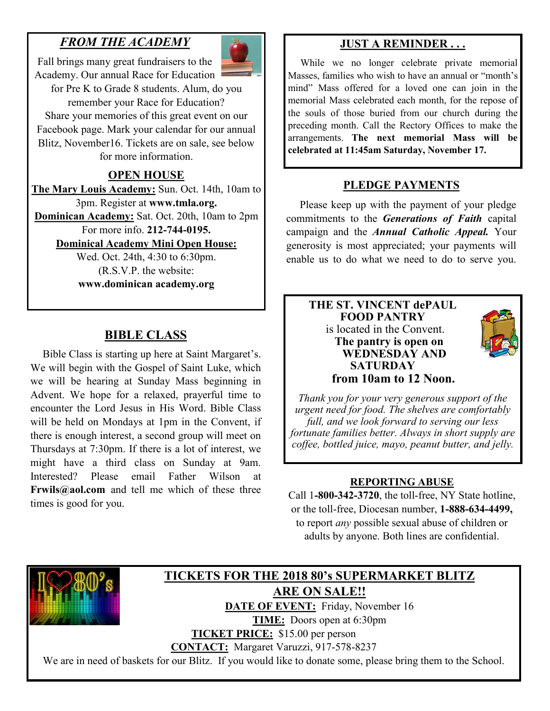## *FROM THE ACADEMY*

Fall brings many great fundraisers to the Academy. Our annual Race for Education

for Pre K to Grade 8 students. Alum, do you remember your Race for Education? Share your memories of this great event on our Facebook page. Mark your calendar for our annual Blitz, November16. Tickets are on sale, see below for more information.

#### **OPEN HOUSE**

**The Mary Louis Academy:** Sun. Oct. 14th, 10am to 3pm. Register at **www.tmla.org.** 

**Dominican Academy:** Sat. Oct. 20th, 10am to 2pm For more info. **212-744-0195.**

**Dominical Academy Mini Open House:**

Wed. Oct. 24th, 4:30 to 6:30pm. (R.S.V.P. the website: **www.dominican academy.org**

#### **BIBLE CLASS**

 Bible Class is starting up here at Saint Margaret's. We will begin with the Gospel of Saint Luke, which we will be hearing at Sunday Mass beginning in Advent. We hope for a relaxed, prayerful time to encounter the Lord Jesus in His Word. Bible Class will be held on Mondays at 1pm in the Convent, if there is enough interest, a second group will meet on Thursdays at 7:30pm. If there is a lot of interest, we might have a third class on Sunday at 9am. Interested? Please email Father Wilson **Frwils@aol.com** and tell me which of these three times is good for you.

#### **JUST A REMINDER . . .**

 While we no longer celebrate private memorial Masses, families who wish to have an annual or "month's mind" Mass offered for a loved one can join in the memorial Mass celebrated each month, for the repose of the souls of those buried from our church during the preceding month. Call the Rectory Offices to make the arrangements. **The next memorial Mass will be celebrated at 11:45am Saturday, November 17.**

#### **PLEDGE PAYMENTS**

 Please keep up with the payment of your pledge commitments to the *Generations of Faith* capital campaign and the *Annual Catholic Appeal.* Your generosity is most appreciated; your payments will enable us to do what we need to do to serve you.

#### **THE ST. VINCENT dePAUL FOOD PANTRY** is located in the Convent. **The pantry is open on WEDNESDAY AND SATURDAY from 10am to 12 Noon.**



*Thank you for your very generous support of the urgent need for food. The shelves are comfortably full, and we look forward to serving our less fortunate families better. Always in short supply are coffee, bottled juice, mayo, peanut butter, and jelly.*

#### **REPORTING ABUSE**

Call 1**-800-342-3720**, the toll-free, NY State hotline, or the toll-free, Diocesan number, **1-888-634-4499,**  to report *any* possible sexual abuse of children or adults by anyone. Both lines are confidential.



#### **TICKETS FOR THE 2018 80's SUPERMARKET BLITZ ARE ON SALE!!** DATE OF EVENT: Friday, November 16

**TIME:** Doors open at 6:30pm

**TICKET PRICE:** \$15.00 per person

**CONTACT:** Margaret Varuzzi, 917-578-8237

We are in need of baskets for our Blitz. If you would like to donate some, please bring them to the School.